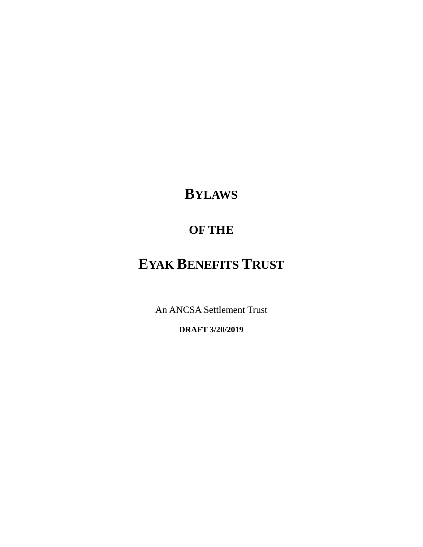# **BYLAWS**

# **OF THE**

# **EYAK BENEFITS TRUST**

An ANCSA Settlement Trust

**DRAFT 3/20/2019**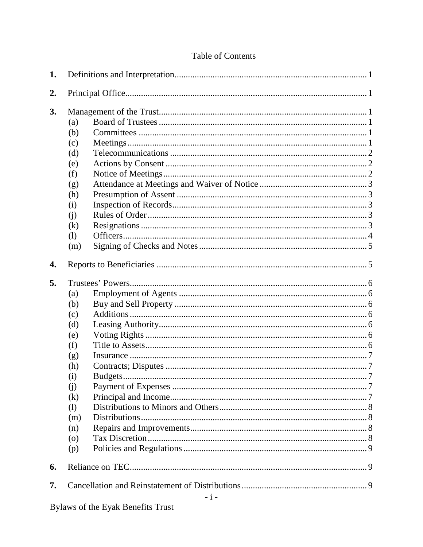# **Table of Contents**

| 1. |                                                                                                                  |
|----|------------------------------------------------------------------------------------------------------------------|
| 2. |                                                                                                                  |
| 3. | (a)<br>(b)<br>(c)<br>(d)<br>(e)<br>(f)<br>(g)<br>(h)<br>(i)<br>(i)<br>(k)<br>(1)<br>(m)                          |
| 4. |                                                                                                                  |
| 5. | (a)<br>(b)<br>(c)<br>(d)<br>(e)<br>(f)<br>(g)<br>(h)<br>(i)<br>(i)<br>(k)<br>(1)<br>(m)<br>(n)<br>$\circ$<br>(p) |
| 6. |                                                                                                                  |
| 7. | - i -                                                                                                            |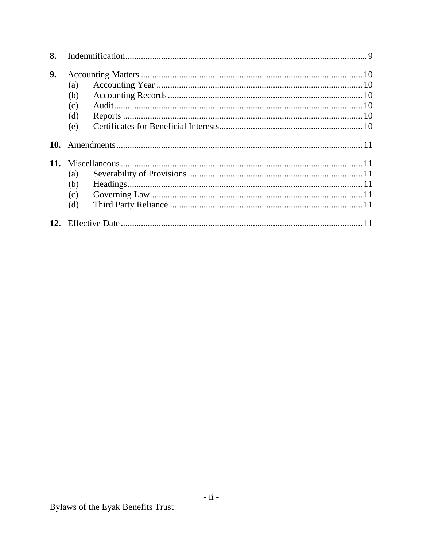| 8.  |     |  |
|-----|-----|--|
| 9.  |     |  |
|     | (a) |  |
|     | (b) |  |
|     | (c) |  |
|     | (d) |  |
|     | (e) |  |
| 10. |     |  |
|     |     |  |
|     | (a) |  |
|     | (b) |  |
|     | (c) |  |
|     | (d) |  |
|     |     |  |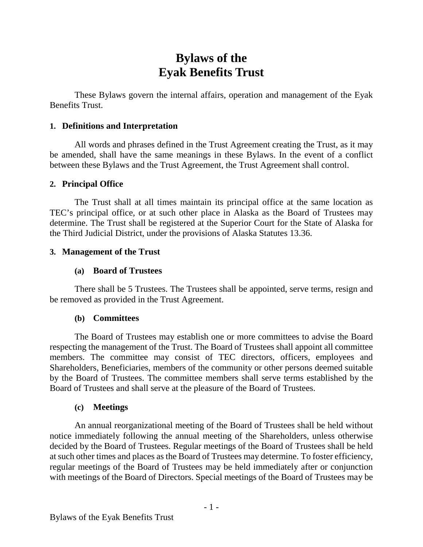# **Bylaws of the Eyak Benefits Trust**

These Bylaws govern the internal affairs, operation and management of the Eyak Benefits Trust.

#### <span id="page-3-0"></span>**1. Definitions and Interpretation**

All words and phrases defined in the Trust Agreement creating the Trust, as it may be amended, shall have the same meanings in these Bylaws. In the event of a conflict between these Bylaws and the Trust Agreement, the Trust Agreement shall control.

#### <span id="page-3-1"></span>**2. Principal Office**

The Trust shall at all times maintain its principal office at the same location as TEC's principal office, or at such other place in Alaska as the Board of Trustees may determine. The Trust shall be registered at the Superior Court for the State of Alaska for the Third Judicial District, under the provisions of Alaska Statutes 13.36.

#### <span id="page-3-3"></span><span id="page-3-2"></span>**3. Management of the Trust**

#### **(a) Board of Trustees**

There shall be 5 Trustees. The Trustees shall be appointed, serve terms, resign and be removed as provided in the Trust Agreement.

#### **(b) Committees**

<span id="page-3-4"></span>The Board of Trustees may establish one or more committees to advise the Board respecting the management of the Trust. The Board of Trustees shall appoint all committee members. The committee may consist of TEC directors, officers, employees and Shareholders, Beneficiaries, members of the community or other persons deemed suitable by the Board of Trustees. The committee members shall serve terms established by the Board of Trustees and shall serve at the pleasure of the Board of Trustees.

#### **(c) Meetings**

<span id="page-3-5"></span>An annual reorganizational meeting of the Board of Trustees shall be held without notice immediately following the annual meeting of the Shareholders, unless otherwise decided by the Board of Trustees. Regular meetings of the Board of Trustees shall be held at such other times and places as the Board of Trustees may determine. To foster efficiency, regular meetings of the Board of Trustees may be held immediately after or conjunction with meetings of the Board of Directors. Special meetings of the Board of Trustees may be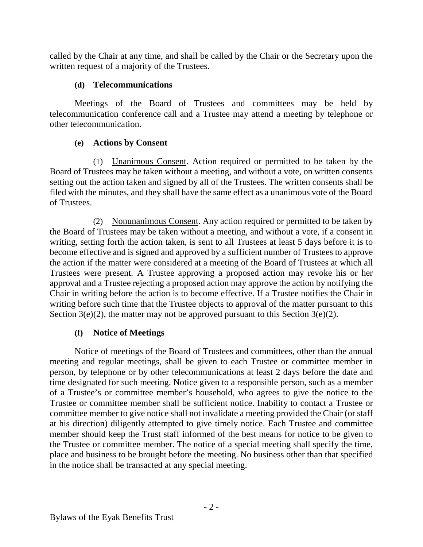called by the Chair at any time, and shall be called by the Chair or the Secretary upon the written request of a majority of the Trustees.

# **(d) Telecommunications**

<span id="page-4-0"></span>Meetings of the Board of Trustees and committees may be held by telecommunication conference call and a Trustee may attend a meeting by telephone or other telecommunication.

# **(e) Actions by Consent**

<span id="page-4-1"></span>(1) Unanimous Consent. Action required or permitted to be taken by the Board of Trustees may be taken without a meeting, and without a vote, on written consents setting out the action taken and signed by all of the Trustees. The written consents shall be filed with the minutes, and they shall have the same effect as a unanimous vote of the Board of Trustees.

<span id="page-4-3"></span>(2) Nonunanimous Consent. Any action required or permitted to be taken by the Board of Trustees may be taken without a meeting, and without a vote, if a consent in writing, setting forth the action taken, is sent to all Trustees at least 5 days before it is to become effective and is signed and approved by a sufficient number of Trustees to approve the action if the matter were considered at a meeting of the Board of Trustees at which all Trustees were present. A Trustee approving a proposed action may revoke his or her approval and a Trustee rejecting a proposed action may approve the action by notifying the Chair in writing before the action is to become effective. If a Trustee notifies the Chair in writing before such time that the Trustee objects to approval of the matter pursuant to this Section [3\(e\)\(2\),](#page-4-3) the matter may not be approved pursuant to this Section [3\(e\)\(2\).](#page-4-3)

# **(f) Notice of Meetings**

<span id="page-4-2"></span>Notice of meetings of the Board of Trustees and committees, other than the annual meeting and regular meetings, shall be given to each Trustee or committee member in person, by telephone or by other telecommunications at least 2 days before the date and time designated for such meeting. Notice given to a responsible person, such as a member of a Trustee's or committee member's household, who agrees to give the notice to the Trustee or committee member shall be sufficient notice. Inability to contact a Trustee or committee member to give notice shall not invalidate a meeting provided the Chair (or staff at his direction) diligently attempted to give timely notice. Each Trustee and committee member should keep the Trust staff informed of the best means for notice to be given to the Trustee or committee member. The notice of a special meeting shall specify the time, place and business to be brought before the meeting. No business other than that specified in the notice shall be transacted at any special meeting.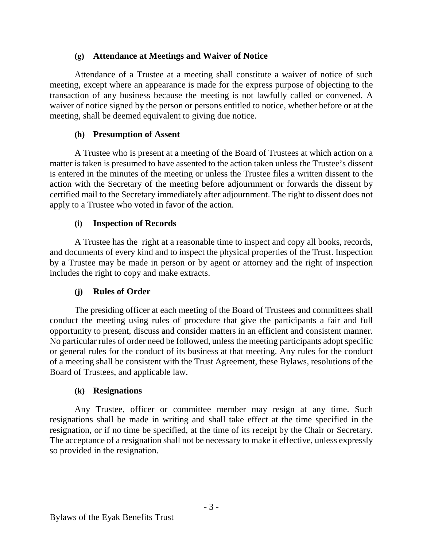# **(g) Attendance at Meetings and Waiver of Notice**

<span id="page-5-0"></span>Attendance of a Trustee at a meeting shall constitute a waiver of notice of such meeting, except where an appearance is made for the express purpose of objecting to the transaction of any business because the meeting is not lawfully called or convened. A waiver of notice signed by the person or persons entitled to notice, whether before or at the meeting, shall be deemed equivalent to giving due notice.

# **(h) Presumption of Assent**

<span id="page-5-1"></span>A Trustee who is present at a meeting of the Board of Trustees at which action on a matter is taken is presumed to have assented to the action taken unless the Trustee's dissent is entered in the minutes of the meeting or unless the Trustee files a written dissent to the action with the Secretary of the meeting before adjournment or forwards the dissent by certified mail to the Secretary immediately after adjournment. The right to dissent does not apply to a Trustee who voted in favor of the action.

# **(i) Inspection of Records**

<span id="page-5-2"></span>A Trustee has the right at a reasonable time to inspect and copy all books, records, and documents of every kind and to inspect the physical properties of the Trust. Inspection by a Trustee may be made in person or by agent or attorney and the right of inspection includes the right to copy and make extracts.

# **(j) Rules of Order**

<span id="page-5-3"></span>The presiding officer at each meeting of the Board of Trustees and committees shall conduct the meeting using rules of procedure that give the participants a fair and full opportunity to present, discuss and consider matters in an efficient and consistent manner. No particular rules of order need be followed, unless the meeting participants adopt specific or general rules for the conduct of its business at that meeting. Any rules for the conduct of a meeting shall be consistent with the Trust Agreement, these Bylaws, resolutions of the Board of Trustees, and applicable law.

#### **(k) Resignations**

<span id="page-5-4"></span>Any Trustee, officer or committee member may resign at any time. Such resignations shall be made in writing and shall take effect at the time specified in the resignation, or if no time be specified, at the time of its receipt by the Chair or Secretary. The acceptance of a resignation shall not be necessary to make it effective, unless expressly so provided in the resignation.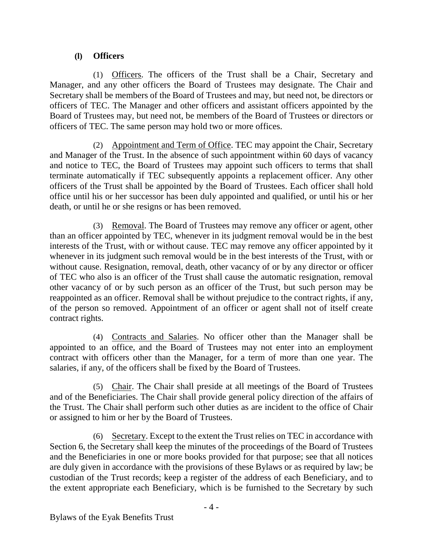# **(l) Officers**

<span id="page-6-0"></span>(1) Officers. The officers of the Trust shall be a Chair, Secretary and Manager, and any other officers the Board of Trustees may designate. The Chair and Secretary shall be members of the Board of Trustees and may, but need not, be directors or officers of TEC. The Manager and other officers and assistant officers appointed by the Board of Trustees may, but need not, be members of the Board of Trustees or directors or officers of TEC. The same person may hold two or more offices.

(2) Appointment and Term of Office. TEC may appoint the Chair, Secretary and Manager of the Trust. In the absence of such appointment within 60 days of vacancy and notice to TEC, the Board of Trustees may appoint such officers to terms that shall terminate automatically if TEC subsequently appoints a replacement officer. Any other officers of the Trust shall be appointed by the Board of Trustees. Each officer shall hold office until his or her successor has been duly appointed and qualified, or until his or her death, or until he or she resigns or has been removed.

(3) Removal. The Board of Trustees may remove any officer or agent, other than an officer appointed by TEC, whenever in its judgment removal would be in the best interests of the Trust, with or without cause. TEC may remove any officer appointed by it whenever in its judgment such removal would be in the best interests of the Trust, with or without cause. Resignation, removal, death, other vacancy of or by any director or officer of TEC who also is an officer of the Trust shall cause the automatic resignation, removal other vacancy of or by such person as an officer of the Trust, but such person may be reappointed as an officer. Removal shall be without prejudice to the contract rights, if any, of the person so removed. Appointment of an officer or agent shall not of itself create contract rights.

(4) Contracts and Salaries. No officer other than the Manager shall be appointed to an office, and the Board of Trustees may not enter into an employment contract with officers other than the Manager, for a term of more than one year. The salaries, if any, of the officers shall be fixed by the Board of Trustees.

(5) Chair. The Chair shall preside at all meetings of the Board of Trustees and of the Beneficiaries. The Chair shall provide general policy direction of the affairs of the Trust. The Chair shall perform such other duties as are incident to the office of Chair or assigned to him or her by the Board of Trustees.

(6) Secretary. Except to the extent the Trust relies on TEC in accordance with Section [6,](#page-11-1) the Secretary shall keep the minutes of the proceedings of the Board of Trustees and the Beneficiaries in one or more books provided for that purpose; see that all notices are duly given in accordance with the provisions of these Bylaws or as required by law; be custodian of the Trust records; keep a register of the address of each Beneficiary, and to the extent appropriate each Beneficiary, which is be furnished to the Secretary by such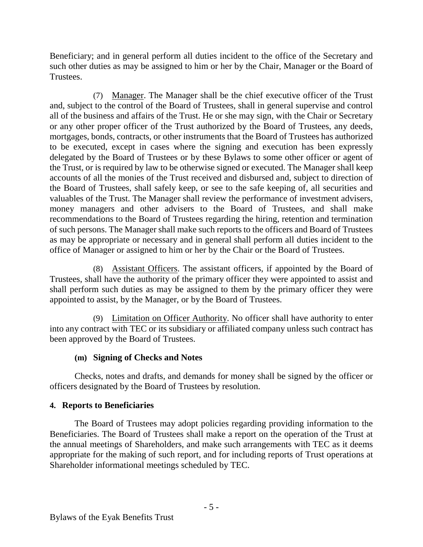Beneficiary; and in general perform all duties incident to the office of the Secretary and such other duties as may be assigned to him or her by the Chair, Manager or the Board of Trustees.

(7) Manager. The Manager shall be the chief executive officer of the Trust and, subject to the control of the Board of Trustees, shall in general supervise and control all of the business and affairs of the Trust. He or she may sign, with the Chair or Secretary or any other proper officer of the Trust authorized by the Board of Trustees, any deeds, mortgages, bonds, contracts, or other instruments that the Board of Trustees has authorized to be executed, except in cases where the signing and execution has been expressly delegated by the Board of Trustees or by these Bylaws to some other officer or agent of the Trust, or is required by law to be otherwise signed or executed. The Manager shall keep accounts of all the monies of the Trust received and disbursed and, subject to direction of the Board of Trustees, shall safely keep, or see to the safe keeping of, all securities and valuables of the Trust. The Manager shall review the performance of investment advisers, money managers and other advisers to the Board of Trustees, and shall make recommendations to the Board of Trustees regarding the hiring, retention and termination of such persons. The Manager shall make such reports to the officers and Board of Trustees as may be appropriate or necessary and in general shall perform all duties incident to the office of Manager or assigned to him or her by the Chair or the Board of Trustees.

(8) Assistant Officers. The assistant officers, if appointed by the Board of Trustees, shall have the authority of the primary officer they were appointed to assist and shall perform such duties as may be assigned to them by the primary officer they were appointed to assist, by the Manager, or by the Board of Trustees.

(9) Limitation on Officer Authority. No officer shall have authority to enter into any contract with TEC or its subsidiary or affiliated company unless such contract has been approved by the Board of Trustees.

# **(m) Signing of Checks and Notes**

<span id="page-7-0"></span>Checks, notes and drafts, and demands for money shall be signed by the officer or officers designated by the Board of Trustees by resolution.

# <span id="page-7-1"></span>**4. Reports to Beneficiaries**

The Board of Trustees may adopt policies regarding providing information to the Beneficiaries. The Board of Trustees shall make a report on the operation of the Trust at the annual meetings of Shareholders, and make such arrangements with TEC as it deems appropriate for the making of such report, and for including reports of Trust operations at Shareholder informational meetings scheduled by TEC.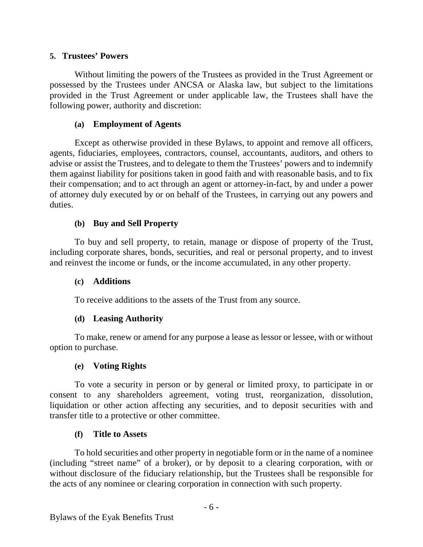#### <span id="page-8-0"></span>**5. Trustees' Powers**

Without limiting the powers of the Trustees as provided in the Trust Agreement or possessed by the Trustees under ANCSA or Alaska law, but subject to the limitations provided in the Trust Agreement or under applicable law, the Trustees shall have the following power, authority and discretion:

#### **(a) Employment of Agents**

<span id="page-8-1"></span>Except as otherwise provided in these Bylaws, to appoint and remove all officers, agents, fiduciaries, employees, contractors, counsel, accountants, auditors, and others to advise or assist the Trustees, and to delegate to them the Trustees' powers and to indemnify them against liability for positions taken in good faith and with reasonable basis, and to fix their compensation; and to act through an agent or attorney-in-fact, by and under a power of attorney duly executed by or on behalf of the Trustees, in carrying out any powers and duties.

# **(b) Buy and Sell Property**

<span id="page-8-2"></span>To buy and sell property, to retain, manage or dispose of property of the Trust, including corporate shares, bonds, securities, and real or personal property, and to invest and reinvest the income or funds, or the income accumulated, in any other property.

#### <span id="page-8-3"></span>**(c) Additions**

To receive additions to the assets of the Trust from any source.

# **(d) Leasing Authority**

<span id="page-8-4"></span>To make, renew or amend for any purpose a lease as lessor or lessee, with or without option to purchase.

#### **(e) Voting Rights**

<span id="page-8-5"></span>To vote a security in person or by general or limited proxy, to participate in or consent to any shareholders agreement, voting trust, reorganization, dissolution, liquidation or other action affecting any securities, and to deposit securities with and transfer title to a protective or other committee.

# **(f) Title to Assets**

<span id="page-8-6"></span>To hold securities and other property in negotiable form or in the name of a nominee (including "street name" of a broker), or by deposit to a clearing corporation, with or without disclosure of the fiduciary relationship, but the Trustees shall be responsible for the acts of any nominee or clearing corporation in connection with such property.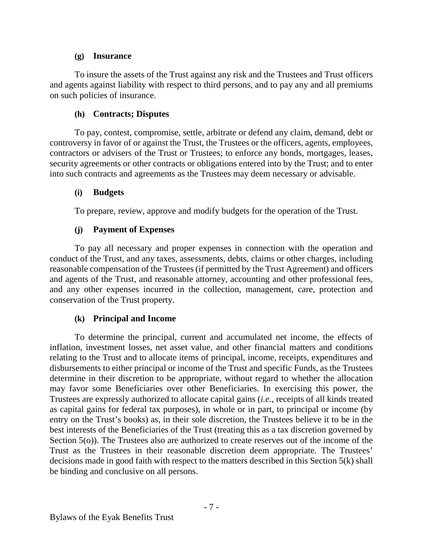# **(g) Insurance**

<span id="page-9-0"></span>To insure the assets of the Trust against any risk and the Trustees and Trust officers and agents against liability with respect to third persons, and to pay any and all premiums on such policies of insurance.

# **(h) Contracts; Disputes**

<span id="page-9-1"></span>To pay, contest, compromise, settle, arbitrate or defend any claim, demand, debt or controversy in favor of or against the Trust, the Trustees or the officers, agents, employees, contractors or advisers of the Trust or Trustees; to enforce any bonds, mortgages, leases, security agreements or other contracts or obligations entered into by the Trust; and to enter into such contracts and agreements as the Trustees may deem necessary or advisable.

# <span id="page-9-2"></span>**(i) Budgets**

To prepare, review, approve and modify budgets for the operation of the Trust.

# **(j) Payment of Expenses**

<span id="page-9-3"></span>To pay all necessary and proper expenses in connection with the operation and conduct of the Trust, and any taxes, assessments, debts, claims or other charges, including reasonable compensation of the Trustees (if permitted by the Trust Agreement) and officers and agents of the Trust, and reasonable attorney, accounting and other professional fees, and any other expenses incurred in the collection, management, care, protection and conservation of the Trust property.

# **(k) Principal and Income**

<span id="page-9-4"></span>To determine the principal, current and accumulated net income, the effects of inflation, investment losses, net asset value, and other financial matters and conditions relating to the Trust and to allocate items of principal, income, receipts, expenditures and disbursements to either principal or income of the Trust and specific Funds, as the Trustees determine in their discretion to be appropriate, without regard to whether the allocation may favor some Beneficiaries over other Beneficiaries. In exercising this power, the Trustees are expressly authorized to allocate capital gains (*i.e.*, receipts of all kinds treated as capital gains for federal tax purposes), in whole or in part, to principal or income (by entry on the Trust's books) as, in their sole discretion, the Trustees believe it to be in the best interests of the Beneficiaries of the Trust (treating this as a tax discretion governed by Section [5\(o\)\)](#page-10-3). The Trustees also are authorized to create reserves out of the income of the Trust as the Trustees in their reasonable discretion deem appropriate. The Trustees' decisions made in good faith with respect to the matters described in this Section [5\(k\)](#page-9-4) shall be binding and conclusive on all persons.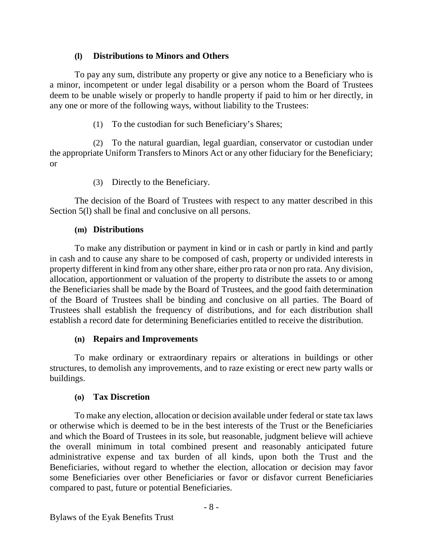# **(l) Distributions to Minors and Others**

<span id="page-10-0"></span>To pay any sum, distribute any property or give any notice to a Beneficiary who is a minor, incompetent or under legal disability or a person whom the Board of Trustees deem to be unable wisely or properly to handle property if paid to him or her directly, in any one or more of the following ways, without liability to the Trustees:

(1) To the custodian for such Beneficiary's Shares;

(2) To the natural guardian, legal guardian, conservator or custodian under the appropriate Uniform Transfers to Minors Act or any other fiduciary for the Beneficiary; or

(3) Directly to the Beneficiary.

The decision of the Board of Trustees with respect to any matter described in this Section 5(1) shall be final and conclusive on all persons.

# **(m) Distributions**

<span id="page-10-1"></span>To make any distribution or payment in kind or in cash or partly in kind and partly in cash and to cause any share to be composed of cash, property or undivided interests in property different in kind from any other share, either pro rata or non pro rata. Any division, allocation, apportionment or valuation of the property to distribute the assets to or among the Beneficiaries shall be made by the Board of Trustees, and the good faith determination of the Board of Trustees shall be binding and conclusive on all parties. The Board of Trustees shall establish the frequency of distributions, and for each distribution shall establish a record date for determining Beneficiaries entitled to receive the distribution.

# **(n) Repairs and Improvements**

<span id="page-10-2"></span>To make ordinary or extraordinary repairs or alterations in buildings or other structures, to demolish any improvements, and to raze existing or erect new party walls or buildings.

# **(o) Tax Discretion**

<span id="page-10-3"></span>To make any election, allocation or decision available under federal or state tax laws or otherwise which is deemed to be in the best interests of the Trust or the Beneficiaries and which the Board of Trustees in its sole, but reasonable, judgment believe will achieve the overall minimum in total combined present and reasonably anticipated future administrative expense and tax burden of all kinds, upon both the Trust and the Beneficiaries, without regard to whether the election, allocation or decision may favor some Beneficiaries over other Beneficiaries or favor or disfavor current Beneficiaries compared to past, future or potential Beneficiaries.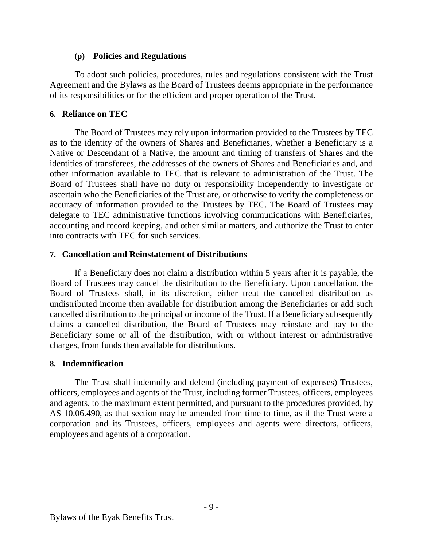#### **(p) Policies and Regulations**

<span id="page-11-0"></span>To adopt such policies, procedures, rules and regulations consistent with the Trust Agreement and the Bylaws as the Board of Trustees deems appropriate in the performance of its responsibilities or for the efficient and proper operation of the Trust.

# <span id="page-11-1"></span>**6. Reliance on TEC**

The Board of Trustees may rely upon information provided to the Trustees by TEC as to the identity of the owners of Shares and Beneficiaries, whether a Beneficiary is a Native or Descendant of a Native, the amount and timing of transfers of Shares and the identities of transferees, the addresses of the owners of Shares and Beneficiaries and, and other information available to TEC that is relevant to administration of the Trust. The Board of Trustees shall have no duty or responsibility independently to investigate or ascertain who the Beneficiaries of the Trust are, or otherwise to verify the completeness or accuracy of information provided to the Trustees by TEC. The Board of Trustees may delegate to TEC administrative functions involving communications with Beneficiaries, accounting and record keeping, and other similar matters, and authorize the Trust to enter into contracts with TEC for such services.

# <span id="page-11-2"></span>**7. Cancellation and Reinstatement of Distributions**

If a Beneficiary does not claim a distribution within 5 years after it is payable, the Board of Trustees may cancel the distribution to the Beneficiary. Upon cancellation, the Board of Trustees shall, in its discretion, either treat the cancelled distribution as undistributed income then available for distribution among the Beneficiaries or add such cancelled distribution to the principal or income of the Trust. If a Beneficiary subsequently claims a cancelled distribution, the Board of Trustees may reinstate and pay to the Beneficiary some or all of the distribution, with or without interest or administrative charges, from funds then available for distributions.

# <span id="page-11-3"></span>**8. Indemnification**

The Trust shall indemnify and defend (including payment of expenses) Trustees, officers, employees and agents of the Trust, including former Trustees, officers, employees and agents, to the maximum extent permitted, and pursuant to the procedures provided, by AS 10.06.490, as that section may be amended from time to time, as if the Trust were a corporation and its Trustees, officers, employees and agents were directors, officers, employees and agents of a corporation.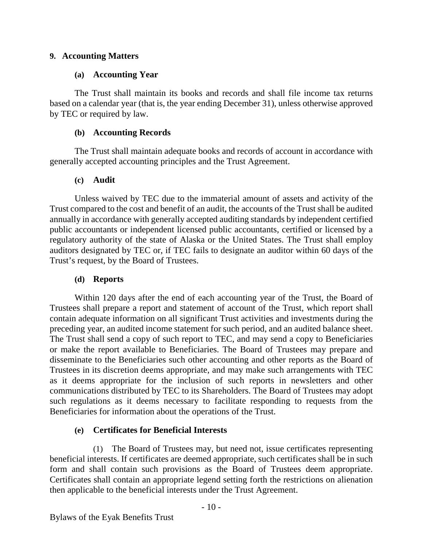#### <span id="page-12-1"></span><span id="page-12-0"></span>**9. Accounting Matters**

#### **(a) Accounting Year**

The Trust shall maintain its books and records and shall file income tax returns based on a calendar year (that is, the year ending December 31), unless otherwise approved by TEC or required by law.

#### **(b) Accounting Records**

<span id="page-12-2"></span>The Trust shall maintain adequate books and records of account in accordance with generally accepted accounting principles and the Trust Agreement.

#### **(c) Audit**

<span id="page-12-3"></span>Unless waived by TEC due to the immaterial amount of assets and activity of the Trust compared to the cost and benefit of an audit, the accounts of the Trust shall be audited annually in accordance with generally accepted auditing standards by independent certified public accountants or independent licensed public accountants, certified or licensed by a regulatory authority of the state of Alaska or the United States. The Trust shall employ auditors designated by TEC or, if TEC fails to designate an auditor within 60 days of the Trust's request, by the Board of Trustees.

#### **(d) Reports**

<span id="page-12-4"></span>Within 120 days after the end of each accounting year of the Trust, the Board of Trustees shall prepare a report and statement of account of the Trust, which report shall contain adequate information on all significant Trust activities and investments during the preceding year, an audited income statement for such period, and an audited balance sheet. The Trust shall send a copy of such report to TEC, and may send a copy to Beneficiaries or make the report available to Beneficiaries. The Board of Trustees may prepare and disseminate to the Beneficiaries such other accounting and other reports as the Board of Trustees in its discretion deems appropriate, and may make such arrangements with TEC as it deems appropriate for the inclusion of such reports in newsletters and other communications distributed by TEC to its Shareholders. The Board of Trustees may adopt such regulations as it deems necessary to facilitate responding to requests from the Beneficiaries for information about the operations of the Trust.

# **(e) Certificates for Beneficial Interests**

<span id="page-12-5"></span>(1) The Board of Trustees may, but need not, issue certificates representing beneficial interests. If certificates are deemed appropriate, such certificates shall be in such form and shall contain such provisions as the Board of Trustees deem appropriate. Certificates shall contain an appropriate legend setting forth the restrictions on alienation then applicable to the beneficial interests under the Trust Agreement.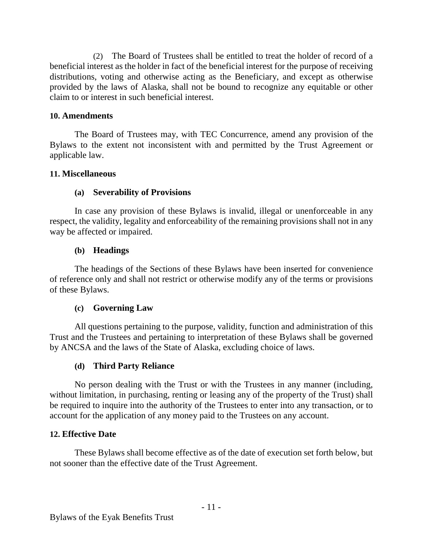(2) The Board of Trustees shall be entitled to treat the holder of record of a beneficial interest as the holder in fact of the beneficial interest for the purpose of receiving distributions, voting and otherwise acting as the Beneficiary, and except as otherwise provided by the laws of Alaska, shall not be bound to recognize any equitable or other claim to or interest in such beneficial interest.

#### <span id="page-13-0"></span>**10. Amendments**

The Board of Trustees may, with TEC Concurrence, amend any provision of the Bylaws to the extent not inconsistent with and permitted by the Trust Agreement or applicable law.

#### <span id="page-13-2"></span><span id="page-13-1"></span>**11. Miscellaneous**

# **(a) Severability of Provisions**

In case any provision of these Bylaws is invalid, illegal or unenforceable in any respect, the validity, legality and enforceability of the remaining provisions shall not in any way be affected or impaired.

#### **(b) Headings**

<span id="page-13-3"></span>The headings of the Sections of these Bylaws have been inserted for convenience of reference only and shall not restrict or otherwise modify any of the terms or provisions of these Bylaws.

#### **(c) Governing Law**

<span id="page-13-4"></span>All questions pertaining to the purpose, validity, function and administration of this Trust and the Trustees and pertaining to interpretation of these Bylaws shall be governed by ANCSA and the laws of the State of Alaska, excluding choice of laws.

#### **(d) Third Party Reliance**

<span id="page-13-5"></span>No person dealing with the Trust or with the Trustees in any manner (including, without limitation, in purchasing, renting or leasing any of the property of the Trust) shall be required to inquire into the authority of the Trustees to enter into any transaction, or to account for the application of any money paid to the Trustees on any account.

#### <span id="page-13-6"></span>**12. Effective Date**

These Bylaws shall become effective as of the date of execution set forth below, but not sooner than the effective date of the Trust Agreement.